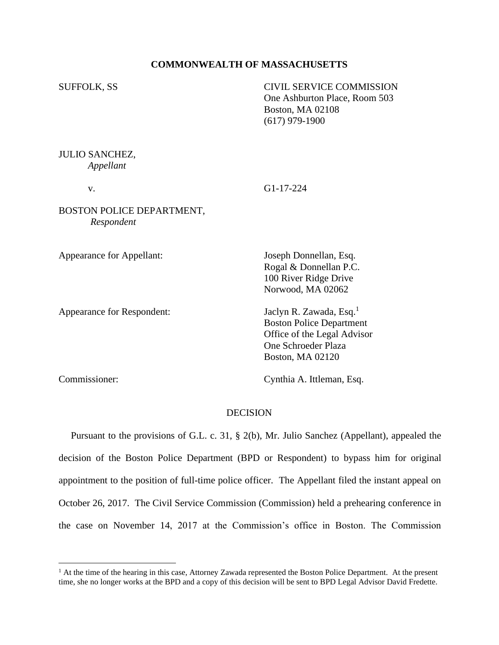## **COMMONWEALTH OF MASSACHUSETTS**

SUFFOLK, SS CIVIL SERVICE COMMISSION One Ashburton Place, Room 503 Boston, MA 02108 (617) 979-1900

JULIO SANCHEZ, *Appellant*

v. G1-17-224

BOSTON POLICE DEPARTMENT, *Respondent*

Appearance for Appellant: Joseph Donnellan, Esq.

Appearance for Respondent:

Rogal & Donnellan P.C. 100 River Ridge Drive Norwood, MA 02062

Jaclyn R. Zawada, Esq.<sup>1</sup> Boston Police Department Office of the Legal Advisor One Schroeder Plaza Boston, MA 02120

Commissioner: Cynthia A. Ittleman, Esq.

## **DECISION**

 Pursuant to the provisions of G.L. c. 31, § 2(b), Mr. Julio Sanchez (Appellant), appealed the decision of the Boston Police Department (BPD or Respondent) to bypass him for original appointment to the position of full-time police officer. The Appellant filed the instant appeal on October 26, 2017. The Civil Service Commission (Commission) held a prehearing conference in the case on November 14, 2017 at the Commission's office in Boston. The Commission

<sup>&</sup>lt;sup>1</sup> At the time of the hearing in this case, Attorney Zawada represented the Boston Police Department. At the present time, she no longer works at the BPD and a copy of this decision will be sent to BPD Legal Advisor David Fredette.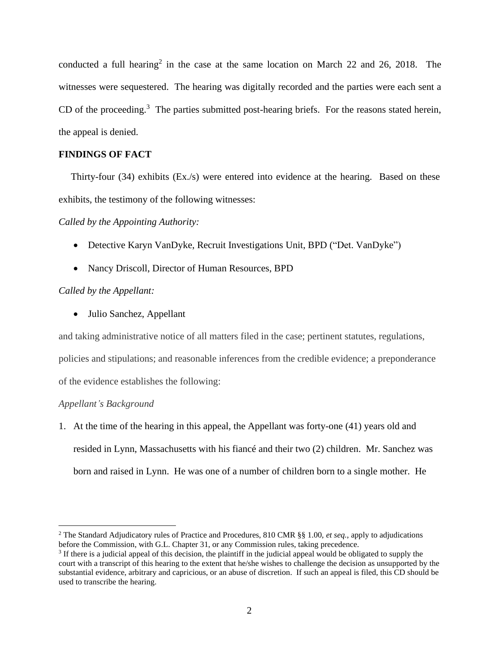conducted a full hearing<sup>2</sup> in the case at the same location on March 22 and 26, 2018. The witnesses were sequestered. The hearing was digitally recorded and the parties were each sent a CD of the proceeding.<sup>3</sup> The parties submitted post-hearing briefs. For the reasons stated herein, the appeal is denied.

# **FINDINGS OF FACT**

 Thirty-four (34) exhibits (Ex./s) were entered into evidence at the hearing. Based on these exhibits, the testimony of the following witnesses:

## *Called by the Appointing Authority:*

- Detective Karyn VanDyke, Recruit Investigations Unit, BPD ("Det. VanDyke")
- Nancy Driscoll, Director of Human Resources, BPD

# *Called by the Appellant:*

• Julio Sanchez, Appellant

and taking administrative notice of all matters filed in the case; pertinent statutes, regulations, policies and stipulations; and reasonable inferences from the credible evidence; a preponderance of the evidence establishes the following:

# *Appellant's Background*

1. At the time of the hearing in this appeal, the Appellant was forty-one (41) years old and resided in Lynn, Massachusetts with his fiancé and their two (2) children. Mr. Sanchez was born and raised in Lynn. He was one of a number of children born to a single mother. He

<sup>2</sup> The Standard Adjudicatory rules of Practice and Procedures, 810 CMR §§ 1.00, *et seq.*, apply to adjudications before the Commission, with G.L. Chapter 31, or any Commission rules, taking precedence.

 $3$  If there is a judicial appeal of this decision, the plaintiff in the judicial appeal would be obligated to supply the court with a transcript of this hearing to the extent that he/she wishes to challenge the decision as unsupported by the substantial evidence, arbitrary and capricious, or an abuse of discretion. If such an appeal is filed, this CD should be used to transcribe the hearing.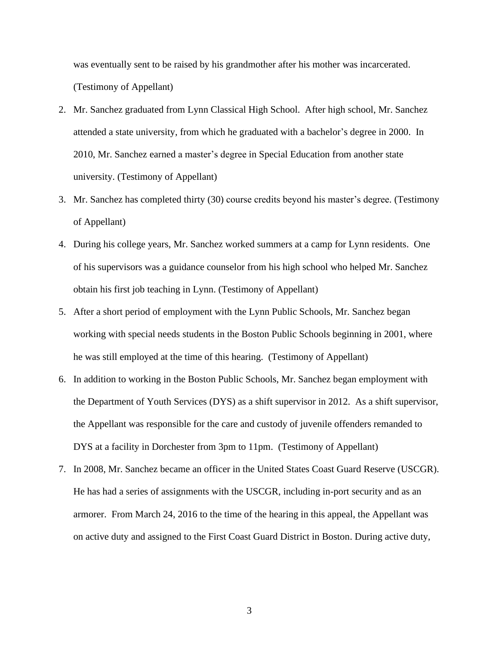was eventually sent to be raised by his grandmother after his mother was incarcerated. (Testimony of Appellant)

- 2. Mr. Sanchez graduated from Lynn Classical High School. After high school, Mr. Sanchez attended a state university, from which he graduated with a bachelor's degree in 2000. In 2010, Mr. Sanchez earned a master's degree in Special Education from another state university. (Testimony of Appellant)
- 3. Mr. Sanchez has completed thirty (30) course credits beyond his master's degree. (Testimony of Appellant)
- 4. During his college years, Mr. Sanchez worked summers at a camp for Lynn residents. One of his supervisors was a guidance counselor from his high school who helped Mr. Sanchez obtain his first job teaching in Lynn. (Testimony of Appellant)
- 5. After a short period of employment with the Lynn Public Schools, Mr. Sanchez began working with special needs students in the Boston Public Schools beginning in 2001, where he was still employed at the time of this hearing. (Testimony of Appellant)
- 6. In addition to working in the Boston Public Schools, Mr. Sanchez began employment with the Department of Youth Services (DYS) as a shift supervisor in 2012. As a shift supervisor, the Appellant was responsible for the care and custody of juvenile offenders remanded to DYS at a facility in Dorchester from 3pm to 11pm. (Testimony of Appellant)
- 7. In 2008, Mr. Sanchez became an officer in the United States Coast Guard Reserve (USCGR). He has had a series of assignments with the USCGR, including in-port security and as an armorer. From March 24, 2016 to the time of the hearing in this appeal, the Appellant was on active duty and assigned to the First Coast Guard District in Boston. During active duty,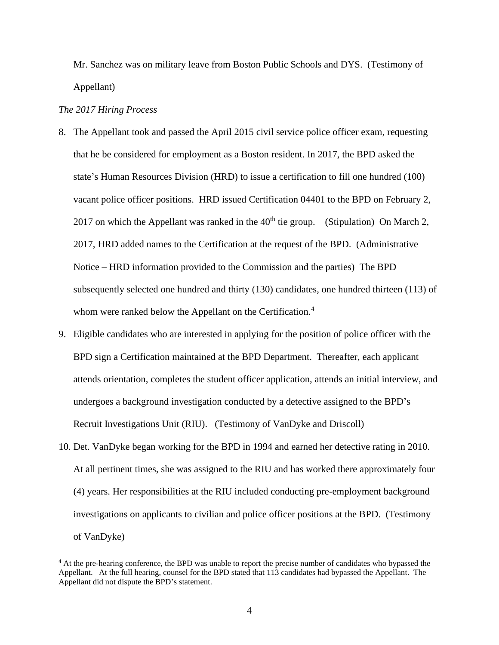Mr. Sanchez was on military leave from Boston Public Schools and DYS. (Testimony of Appellant)

#### *The 2017 Hiring Process*

- 8. The Appellant took and passed the April 2015 civil service police officer exam, requesting that he be considered for employment as a Boston resident. In 2017, the BPD asked the state's Human Resources Division (HRD) to issue a certification to fill one hundred (100) vacant police officer positions. HRD issued Certification 04401 to the BPD on February 2, 2017 on which the Appellant was ranked in the  $40<sup>th</sup>$  tie group. (Stipulation) On March 2, 2017, HRD added names to the Certification at the request of the BPD. (Administrative Notice – HRD information provided to the Commission and the parties) The BPD subsequently selected one hundred and thirty (130) candidates, one hundred thirteen (113) of whom were ranked below the Appellant on the Certification.<sup>4</sup>
- 9. Eligible candidates who are interested in applying for the position of police officer with the BPD sign a Certification maintained at the BPD Department. Thereafter, each applicant attends orientation, completes the student officer application, attends an initial interview, and undergoes a background investigation conducted by a detective assigned to the BPD's Recruit Investigations Unit (RIU). (Testimony of VanDyke and Driscoll)
- 10. Det. VanDyke began working for the BPD in 1994 and earned her detective rating in 2010. At all pertinent times, she was assigned to the RIU and has worked there approximately four (4) years. Her responsibilities at the RIU included conducting pre-employment background investigations on applicants to civilian and police officer positions at the BPD. (Testimony of VanDyke)

<sup>&</sup>lt;sup>4</sup> At the pre-hearing conference, the BPD was unable to report the precise number of candidates who bypassed the Appellant. At the full hearing, counsel for the BPD stated that 113 candidates had bypassed the Appellant. The Appellant did not dispute the BPD's statement.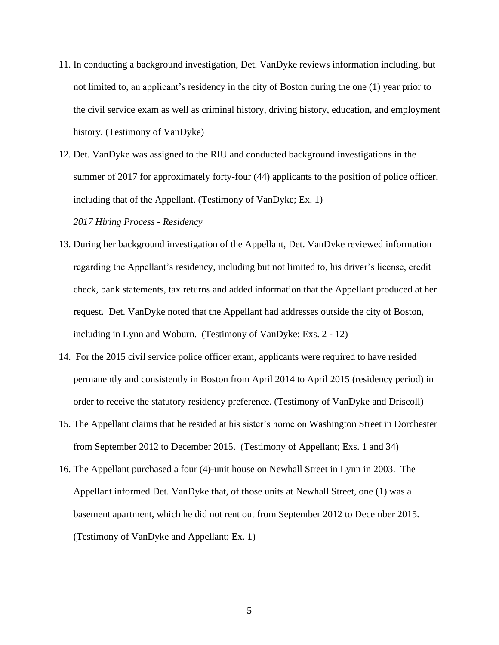- 11. In conducting a background investigation, Det. VanDyke reviews information including, but not limited to, an applicant's residency in the city of Boston during the one (1) year prior to the civil service exam as well as criminal history, driving history, education, and employment history. (Testimony of VanDyke)
- 12. Det. VanDyke was assigned to the RIU and conducted background investigations in the summer of 2017 for approximately forty-four (44) applicants to the position of police officer, including that of the Appellant. (Testimony of VanDyke; Ex. 1)

*2017 Hiring Process - Residency*

- 13. During her background investigation of the Appellant, Det. VanDyke reviewed information regarding the Appellant's residency, including but not limited to, his driver's license, credit check, bank statements, tax returns and added information that the Appellant produced at her request. Det. VanDyke noted that the Appellant had addresses outside the city of Boston, including in Lynn and Woburn. (Testimony of VanDyke; Exs. 2 - 12)
- 14. For the 2015 civil service police officer exam, applicants were required to have resided permanently and consistently in Boston from April 2014 to April 2015 (residency period) in order to receive the statutory residency preference. (Testimony of VanDyke and Driscoll)
- 15. The Appellant claims that he resided at his sister's home on Washington Street in Dorchester from September 2012 to December 2015. (Testimony of Appellant; Exs. 1 and 34)
- 16. The Appellant purchased a four (4)-unit house on Newhall Street in Lynn in 2003. The Appellant informed Det. VanDyke that, of those units at Newhall Street, one (1) was a basement apartment, which he did not rent out from September 2012 to December 2015. (Testimony of VanDyke and Appellant; Ex. 1)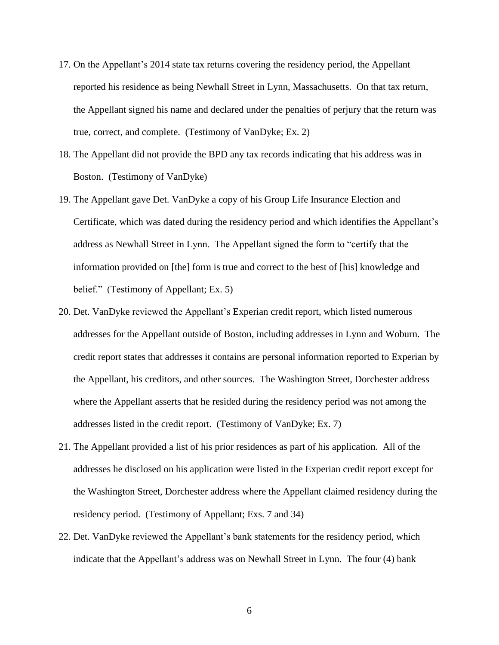- 17. On the Appellant's 2014 state tax returns covering the residency period, the Appellant reported his residence as being Newhall Street in Lynn, Massachusetts. On that tax return, the Appellant signed his name and declared under the penalties of perjury that the return was true, correct, and complete. (Testimony of VanDyke; Ex. 2)
- 18. The Appellant did not provide the BPD any tax records indicating that his address was in Boston. (Testimony of VanDyke)
- 19. The Appellant gave Det. VanDyke a copy of his Group Life Insurance Election and Certificate, which was dated during the residency period and which identifies the Appellant's address as Newhall Street in Lynn. The Appellant signed the form to "certify that the information provided on [the] form is true and correct to the best of [his] knowledge and belief." (Testimony of Appellant; Ex. 5)
- 20. Det. VanDyke reviewed the Appellant's Experian credit report, which listed numerous addresses for the Appellant outside of Boston, including addresses in Lynn and Woburn. The credit report states that addresses it contains are personal information reported to Experian by the Appellant, his creditors, and other sources. The Washington Street, Dorchester address where the Appellant asserts that he resided during the residency period was not among the addresses listed in the credit report. (Testimony of VanDyke; Ex. 7)
- 21. The Appellant provided a list of his prior residences as part of his application. All of the addresses he disclosed on his application were listed in the Experian credit report except for the Washington Street, Dorchester address where the Appellant claimed residency during the residency period. (Testimony of Appellant; Exs. 7 and 34)
- 22. Det. VanDyke reviewed the Appellant's bank statements for the residency period, which indicate that the Appellant's address was on Newhall Street in Lynn. The four (4) bank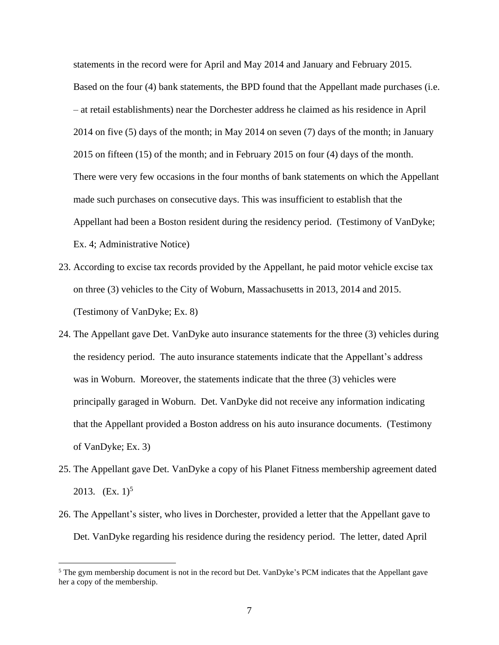statements in the record were for April and May 2014 and January and February 2015. Based on the four (4) bank statements, the BPD found that the Appellant made purchases (i.e. – at retail establishments) near the Dorchester address he claimed as his residence in April 2014 on five (5) days of the month; in May 2014 on seven (7) days of the month; in January 2015 on fifteen (15) of the month; and in February 2015 on four (4) days of the month. There were very few occasions in the four months of bank statements on which the Appellant made such purchases on consecutive days. This was insufficient to establish that the Appellant had been a Boston resident during the residency period. (Testimony of VanDyke; Ex. 4; Administrative Notice)

- 23. According to excise tax records provided by the Appellant, he paid motor vehicle excise tax on three (3) vehicles to the City of Woburn, Massachusetts in 2013, 2014 and 2015. (Testimony of VanDyke; Ex. 8)
- 24. The Appellant gave Det. VanDyke auto insurance statements for the three (3) vehicles during the residency period. The auto insurance statements indicate that the Appellant's address was in Woburn. Moreover, the statements indicate that the three (3) vehicles were principally garaged in Woburn. Det. VanDyke did not receive any information indicating that the Appellant provided a Boston address on his auto insurance documents. (Testimony of VanDyke; Ex. 3)
- 25. The Appellant gave Det. VanDyke a copy of his Planet Fitness membership agreement dated 2013.  $(Ex. 1)^5$
- 26. The Appellant's sister, who lives in Dorchester, provided a letter that the Appellant gave to Det. VanDyke regarding his residence during the residency period. The letter, dated April

<sup>&</sup>lt;sup>5</sup> The gym membership document is not in the record but Det. VanDyke's PCM indicates that the Appellant gave her a copy of the membership.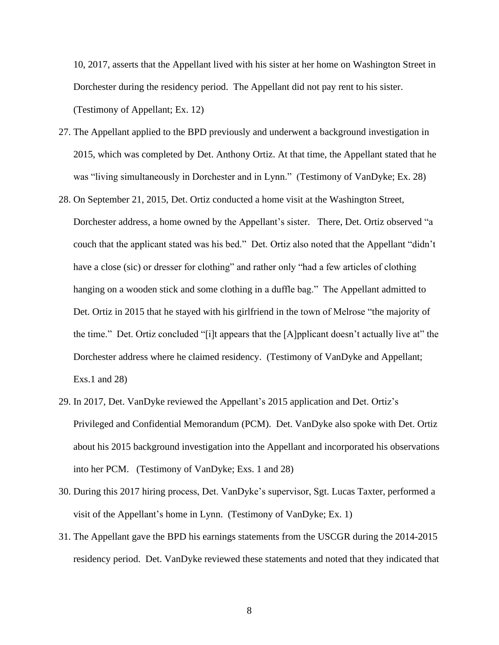10, 2017, asserts that the Appellant lived with his sister at her home on Washington Street in Dorchester during the residency period. The Appellant did not pay rent to his sister. (Testimony of Appellant; Ex. 12)

- 27. The Appellant applied to the BPD previously and underwent a background investigation in 2015, which was completed by Det. Anthony Ortiz. At that time, the Appellant stated that he was "living simultaneously in Dorchester and in Lynn." (Testimony of VanDyke; Ex. 28)
- 28. On September 21, 2015, Det. Ortiz conducted a home visit at the Washington Street, Dorchester address, a home owned by the Appellant's sister. There, Det. Ortiz observed "a couch that the applicant stated was his bed." Det. Ortiz also noted that the Appellant "didn't have a close (sic) or dresser for clothing" and rather only "had a few articles of clothing hanging on a wooden stick and some clothing in a duffle bag." The Appellant admitted to Det. Ortiz in 2015 that he stayed with his girlfriend in the town of Melrose "the majority of the time." Det. Ortiz concluded "[i]t appears that the [A]pplicant doesn't actually live at" the Dorchester address where he claimed residency. (Testimony of VanDyke and Appellant; Exs.1 and 28)
- 29. In 2017, Det. VanDyke reviewed the Appellant's 2015 application and Det. Ortiz's Privileged and Confidential Memorandum (PCM). Det. VanDyke also spoke with Det. Ortiz about his 2015 background investigation into the Appellant and incorporated his observations into her PCM. (Testimony of VanDyke; Exs. 1 and 28)
- 30. During this 2017 hiring process, Det. VanDyke's supervisor, Sgt. Lucas Taxter, performed a visit of the Appellant's home in Lynn. (Testimony of VanDyke; Ex. 1)
- 31. The Appellant gave the BPD his earnings statements from the USCGR during the 2014-2015 residency period. Det. VanDyke reviewed these statements and noted that they indicated that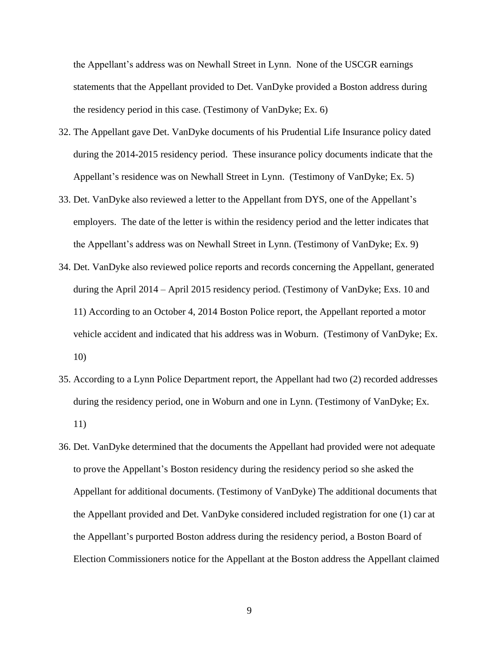the Appellant's address was on Newhall Street in Lynn. None of the USCGR earnings statements that the Appellant provided to Det. VanDyke provided a Boston address during the residency period in this case. (Testimony of VanDyke; Ex. 6)

- 32. The Appellant gave Det. VanDyke documents of his Prudential Life Insurance policy dated during the 2014-2015 residency period. These insurance policy documents indicate that the Appellant's residence was on Newhall Street in Lynn. (Testimony of VanDyke; Ex. 5)
- 33. Det. VanDyke also reviewed a letter to the Appellant from DYS, one of the Appellant's employers. The date of the letter is within the residency period and the letter indicates that the Appellant's address was on Newhall Street in Lynn. (Testimony of VanDyke; Ex. 9)
- 34. Det. VanDyke also reviewed police reports and records concerning the Appellant, generated during the April 2014 – April 2015 residency period. (Testimony of VanDyke; Exs. 10 and 11) According to an October 4, 2014 Boston Police report, the Appellant reported a motor vehicle accident and indicated that his address was in Woburn. (Testimony of VanDyke; Ex. 10)
- 35. According to a Lynn Police Department report, the Appellant had two (2) recorded addresses during the residency period, one in Woburn and one in Lynn. (Testimony of VanDyke; Ex. 11)
- 36. Det. VanDyke determined that the documents the Appellant had provided were not adequate to prove the Appellant's Boston residency during the residency period so she asked the Appellant for additional documents. (Testimony of VanDyke) The additional documents that the Appellant provided and Det. VanDyke considered included registration for one (1) car at the Appellant's purported Boston address during the residency period, a Boston Board of Election Commissioners notice for the Appellant at the Boston address the Appellant claimed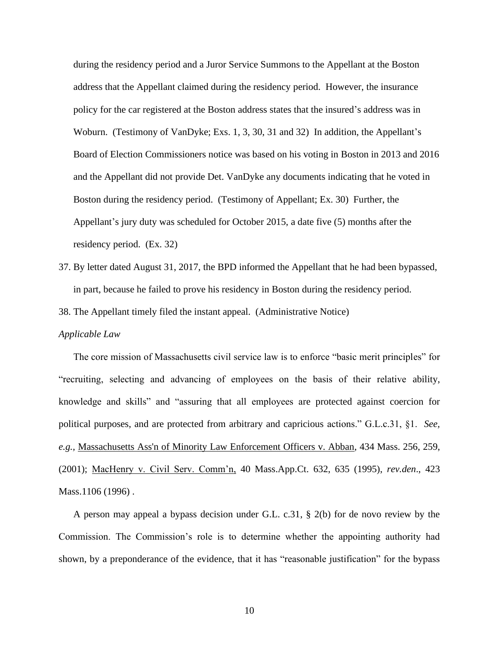during the residency period and a Juror Service Summons to the Appellant at the Boston address that the Appellant claimed during the residency period. However, the insurance policy for the car registered at the Boston address states that the insured's address was in Woburn. (Testimony of VanDyke; Exs. 1, 3, 30, 31 and 32) In addition, the Appellant's Board of Election Commissioners notice was based on his voting in Boston in 2013 and 2016 and the Appellant did not provide Det. VanDyke any documents indicating that he voted in Boston during the residency period. (Testimony of Appellant; Ex. 30) Further, the Appellant's jury duty was scheduled for October 2015, a date five (5) months after the residency period. (Ex. 32)

37. By letter dated August 31, 2017, the BPD informed the Appellant that he had been bypassed, in part, because he failed to prove his residency in Boston during the residency period.

38. The Appellant timely filed the instant appeal. (Administrative Notice)

### *Applicable Law*

The core mission of Massachusetts civil service law is to enforce "basic merit principles" for "recruiting, selecting and advancing of employees on the basis of their relative ability, knowledge and skills" and "assuring that all employees are protected against coercion for political purposes, and are protected from arbitrary and capricious actions." G.L.c.31, §1. *See, e.g.,* [Massachusetts Ass'n of Minority Law Enforcement Officers v. Abban,](http://web2.westlaw.com/find/default.wl?mt=Massachusetts&db=578&rs=WLW15.04&tc=-1&rp=%2ffind%2fdefault.wl&findtype=Y&ordoc=2029136022&serialnum=2001441097&vr=2.0&fn=_top&sv=Split&tf=-1&pbc=70F732C1&utid=1) 434 Mass. 256, 259, [\(2001\);](http://web2.westlaw.com/find/default.wl?mt=Massachusetts&db=578&rs=WLW15.04&tc=-1&rp=%2ffind%2fdefault.wl&findtype=Y&ordoc=2029136022&serialnum=2001441097&vr=2.0&fn=_top&sv=Split&tf=-1&pbc=70F732C1&utid=1) MacHenry v. Civil Serv. Comm'n, 40 Mass.App.Ct. 632, 635 (1995), *rev.den*., 423 Mass.1106 (1996).

A person may appeal a bypass decision under G.L. c.31, § 2(b) for de novo review by the Commission. The Commission's role is to determine whether the appointing authority had shown, by a preponderance of the evidence, that it has "reasonable justification" for the bypass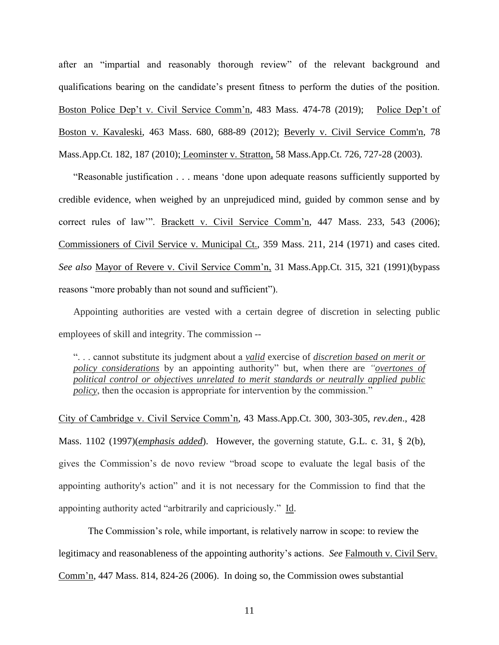after an "impartial and reasonably thorough review" of the relevant background and qualifications bearing on the candidate's present fitness to perform the duties of the position. Boston Police Dep't v. Civil Service Comm'n, 483 Mass. 474-78 (2019); Police Dep't of Boston v. Kavaleski, 463 Mass. 680, 688-89 (2012); [Beverly v. Civil Service Comm'n, 78](http://web2.westlaw.com/find/default.wl?mt=Massachusetts&db=578&rs=WLW15.04&tc=-1&rp=%2ffind%2fdefault.wl&findtype=Y&ordoc=2029136022&serialnum=2023501172&vr=2.0&fn=_top&sv=Split&tf=-1&pbc=70F732C1&utid=1)  [Mass.App.Ct. 182, 187 \(2010\);](http://web2.westlaw.com/find/default.wl?mt=Massachusetts&db=578&rs=WLW15.04&tc=-1&rp=%2ffind%2fdefault.wl&findtype=Y&ordoc=2029136022&serialnum=2023501172&vr=2.0&fn=_top&sv=Split&tf=-1&pbc=70F732C1&utid=1) Leominster v. Stratton, 58 Mass.App.Ct. 726, 727-28 (2003).

"Reasonable justification . . . means 'done upon adequate reasons sufficiently supported by credible evidence, when weighed by an unprejudiced mind, guided by common sense and by correct rules of law". Brackett v. Civil Service Comm'n, 447 Mass. 233, 543 (2006); Commissioners of Civil Service v. Municipal Ct., 359 Mass. 211, 214 (1971) and cases cited. *See also* Mayor of Revere v. Civil Service Comm'n, 31 Mass.App.Ct. 315, 321 (1991)(bypass reasons "more probably than not sound and sufficient").

Appointing authorities are vested with a certain degree of discretion in selecting public employees of skill and integrity. The commission --

". . . cannot substitute its judgment about a *valid* exercise of *discretion based on merit or policy considerations* by an appointing authority" but, when there are *"overtones of political control or objectives unrelated to merit standards or neutrally applied public policy*, then the occasion is appropriate for intervention by the commission."

City of Cambridge v. Civil Service Comm'n, 43 Mass.App.Ct. 300, 303-305, *rev.den*., 428 Mass. 1102 (1997)(*emphasis added*). However, the governing statute, [G.L. c. 31, § 2\(b\),](https://1.next.westlaw.com/Link/Document/FullText?findType=L&pubNum=1000042&cite=MAST31S2&originatingDoc=Ib21af0ded3bd11d99439b076ef9ec4de&refType=LQ&originationContext=document&transitionType=DocumentItem&contextData=(sc.History*oc.UserEnteredCitation)) gives the Commission's de novo review "broad scope to evaluate the legal basis of the appointing authority's action" and it is not necessary for the Commission to find that the appointing authority acted "arbitrarily and capriciously." Id.

The Commission's role, while important, is relatively narrow in scope: to review the legitimacy and reasonableness of the appointing authority's actions. *See* Falmouth v. Civil Serv. Comm'n, 447 Mass. 814, 824-26 (2006). In doing so, the Commission owes substantial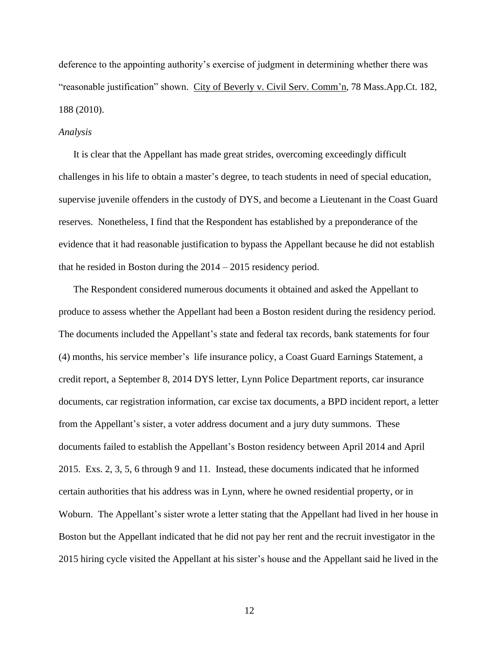deference to the appointing authority's exercise of judgment in determining whether there was "reasonable justification" shown. City of Beverly v. Civil Serv. Comm'n, 78 Mass.App.Ct. 182, 188 (2010).

### *Analysis*

It is clear that the Appellant has made great strides, overcoming exceedingly difficult challenges in his life to obtain a master's degree, to teach students in need of special education, supervise juvenile offenders in the custody of DYS, and become a Lieutenant in the Coast Guard reserves. Nonetheless, I find that the Respondent has established by a preponderance of the evidence that it had reasonable justification to bypass the Appellant because he did not establish that he resided in Boston during the 2014 – 2015 residency period.

The Respondent considered numerous documents it obtained and asked the Appellant to produce to assess whether the Appellant had been a Boston resident during the residency period. The documents included the Appellant's state and federal tax records, bank statements for four (4) months, his service member's life insurance policy, a Coast Guard Earnings Statement, a credit report, a September 8, 2014 DYS letter, Lynn Police Department reports, car insurance documents, car registration information, car excise tax documents, a BPD incident report, a letter from the Appellant's sister, a voter address document and a jury duty summons. These documents failed to establish the Appellant's Boston residency between April 2014 and April 2015. Exs. 2, 3, 5, 6 through 9 and 11. Instead, these documents indicated that he informed certain authorities that his address was in Lynn, where he owned residential property, or in Woburn. The Appellant's sister wrote a letter stating that the Appellant had lived in her house in Boston but the Appellant indicated that he did not pay her rent and the recruit investigator in the 2015 hiring cycle visited the Appellant at his sister's house and the Appellant said he lived in the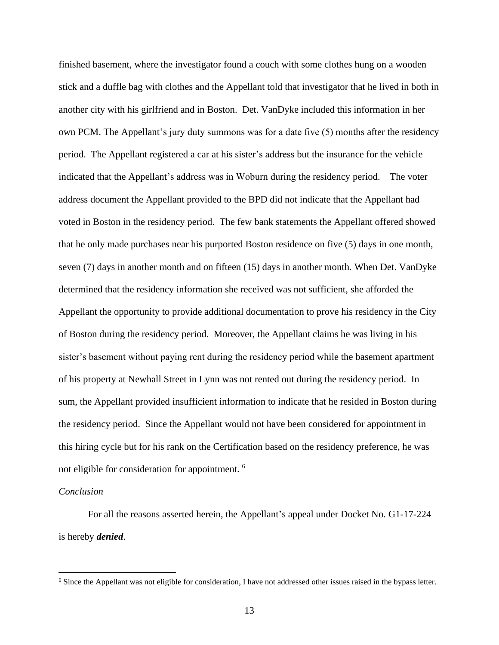finished basement, where the investigator found a couch with some clothes hung on a wooden stick and a duffle bag with clothes and the Appellant told that investigator that he lived in both in another city with his girlfriend and in Boston. Det. VanDyke included this information in her own PCM. The Appellant's jury duty summons was for a date five (5) months after the residency period. The Appellant registered a car at his sister's address but the insurance for the vehicle indicated that the Appellant's address was in Woburn during the residency period. The voter address document the Appellant provided to the BPD did not indicate that the Appellant had voted in Boston in the residency period. The few bank statements the Appellant offered showed that he only made purchases near his purported Boston residence on five (5) days in one month, seven (7) days in another month and on fifteen (15) days in another month. When Det. VanDyke determined that the residency information she received was not sufficient, she afforded the Appellant the opportunity to provide additional documentation to prove his residency in the City of Boston during the residency period. Moreover, the Appellant claims he was living in his sister's basement without paying rent during the residency period while the basement apartment of his property at Newhall Street in Lynn was not rented out during the residency period. In sum, the Appellant provided insufficient information to indicate that he resided in Boston during the residency period. Since the Appellant would not have been considered for appointment in this hiring cycle but for his rank on the Certification based on the residency preference, he was not eligible for consideration for appointment. <sup>6</sup>

## *Conclusion*

For all the reasons asserted herein, the Appellant's appeal under Docket No. G1-17-224 is hereby *denied*.

<sup>6</sup> Since the Appellant was not eligible for consideration, I have not addressed other issues raised in the bypass letter.